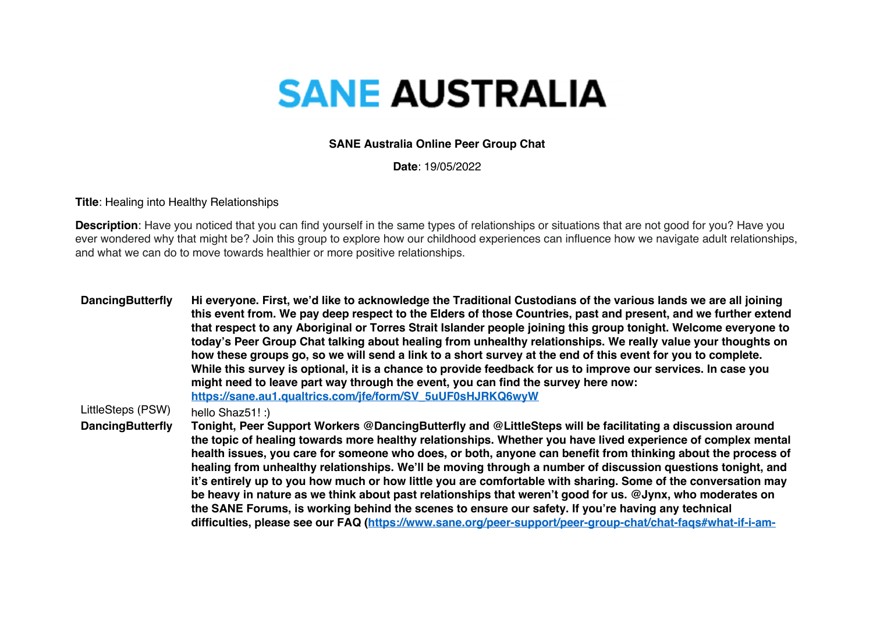## **SANE AUSTRALIA**

## **SANE Australia Online Peer Group Chat**

**Date**: 19/05/2022

**Title**: Healing into Healthy Relationships

**Description**: Have you noticed that you can find yourself in the same types of relationships or situations that are not good for you? Have you ever wondered why that might be? Join this group to explore how our childhood experiences can influence how we navigate adult relationships, and what we can do to move towards healthier or more positive relationships.

**DancingButterfly Hi everyone. First, we'd like to acknowledge the Traditional Custodians of the various lands we are all joining this event from. We pay deep respect to the Elders of those Countries, past and present, and we further extend that respect to any Aboriginal or Torres Strait Islander people joining this group tonight. Welcome everyone to today's Peer Group Chat talking about healing from unhealthy relationships. We really value your thoughts on how these groups go, so we will send a link to a short survey at the end of this event for you to complete. While this survey is optional, it is a chance to provide feedback for us to improve our services. In case you might need to leave part way through the event, you can find the survey here now: https://sane.au1.qualtrics.com/jfe/form/SV\_5uUF0sHJRKQ6wyW** LittleSteps (PSW) hello Shaz51! :) **DancingButterfly Tonight, Peer Support Workers @DancingButterfly and @LittleSteps will be facilitating a discussion around the topic of healing towards more healthy relationships. Whether you have lived experience of complex mental health issues, you care for someone who does, or both, anyone can benefit from thinking about the process of healing from unhealthy relationships. We'll be moving through a number of discussion questions tonight, and it's entirely up to you how much or how little you are comfortable with sharing. Some of the conversation may be heavy in nature as we think about past relationships that weren't good for us. @Jynx, who moderates on the SANE Forums, is working behind the scenes to ensure our safety. If you're having any technical difficulties, please see our FAQ (https://www.sane.org/peer-support/peer-group-chat/chat-faqs#what-if-i-am-**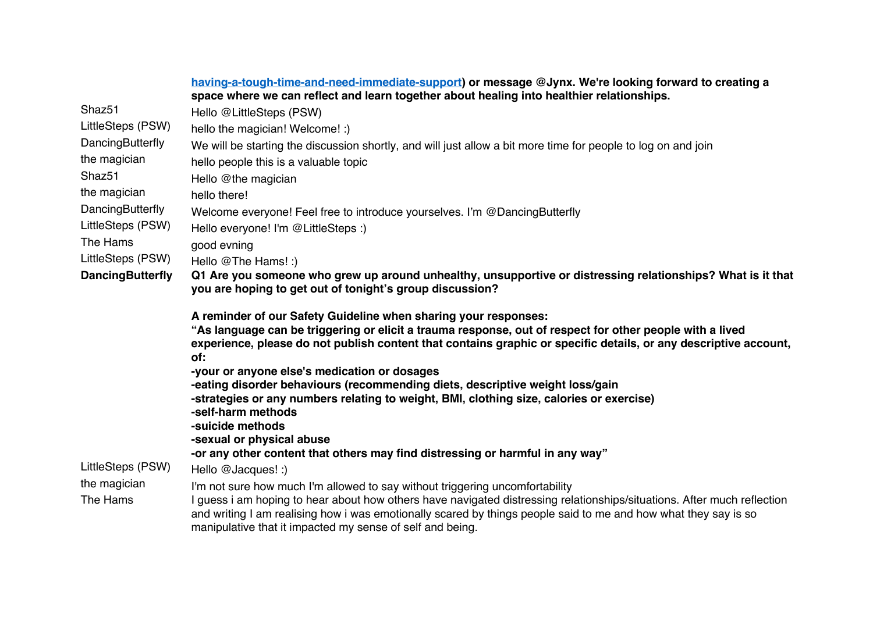|                         | having-a-tough-time-and-need-immediate-support) or message @Jynx. We're looking forward to creating a<br>space where we can reflect and learn together about healing into healthier relationships.                                                                                              |
|-------------------------|-------------------------------------------------------------------------------------------------------------------------------------------------------------------------------------------------------------------------------------------------------------------------------------------------|
| Shaz51                  | Hello @LittleSteps (PSW)                                                                                                                                                                                                                                                                        |
| LittleSteps (PSW)       | hello the magician! Welcome! :)                                                                                                                                                                                                                                                                 |
| DancingButterfly        | We will be starting the discussion shortly, and will just allow a bit more time for people to log on and join                                                                                                                                                                                   |
| the magician            | hello people this is a valuable topic                                                                                                                                                                                                                                                           |
| Shaz <sub>51</sub>      | Hello @the magician                                                                                                                                                                                                                                                                             |
| the magician            | hello there!                                                                                                                                                                                                                                                                                    |
| DancingButterfly        | Welcome everyone! Feel free to introduce yourselves. I'm @DancingButterfly                                                                                                                                                                                                                      |
| LittleSteps (PSW)       | Hello everyone! I'm @LittleSteps :)                                                                                                                                                                                                                                                             |
| The Hams                | good evning                                                                                                                                                                                                                                                                                     |
| LittleSteps (PSW)       | Hello @The Hams! :)                                                                                                                                                                                                                                                                             |
| <b>DancingButterfly</b> | Q1 Are you someone who grew up around unhealthy, unsupportive or distressing relationships? What is it that<br>you are hoping to get out of tonight's group discussion?                                                                                                                         |
|                         | A reminder of our Safety Guideline when sharing your responses:<br>"As language can be triggering or elicit a trauma response, out of respect for other people with a lived<br>experience, please do not publish content that contains graphic or specific details, or any descriptive account, |
|                         | of:<br>-your or anyone else's medication or dosages                                                                                                                                                                                                                                             |
|                         | -eating disorder behaviours (recommending diets, descriptive weight loss/gain                                                                                                                                                                                                                   |
|                         | -strategies or any numbers relating to weight, BMI, clothing size, calories or exercise)                                                                                                                                                                                                        |
|                         | -self-harm methods                                                                                                                                                                                                                                                                              |
|                         | -suicide methods<br>-sexual or physical abuse                                                                                                                                                                                                                                                   |
|                         | -or any other content that others may find distressing or harmful in any way"                                                                                                                                                                                                                   |
| LittleSteps (PSW)       | Hello @Jacques! :)                                                                                                                                                                                                                                                                              |
| the magician            | I'm not sure how much I'm allowed to say without triggering uncomfortability                                                                                                                                                                                                                    |
| The Hams                | I quess i am hoping to hear about how others have navigated distressing relationships/situations. After much reflection                                                                                                                                                                         |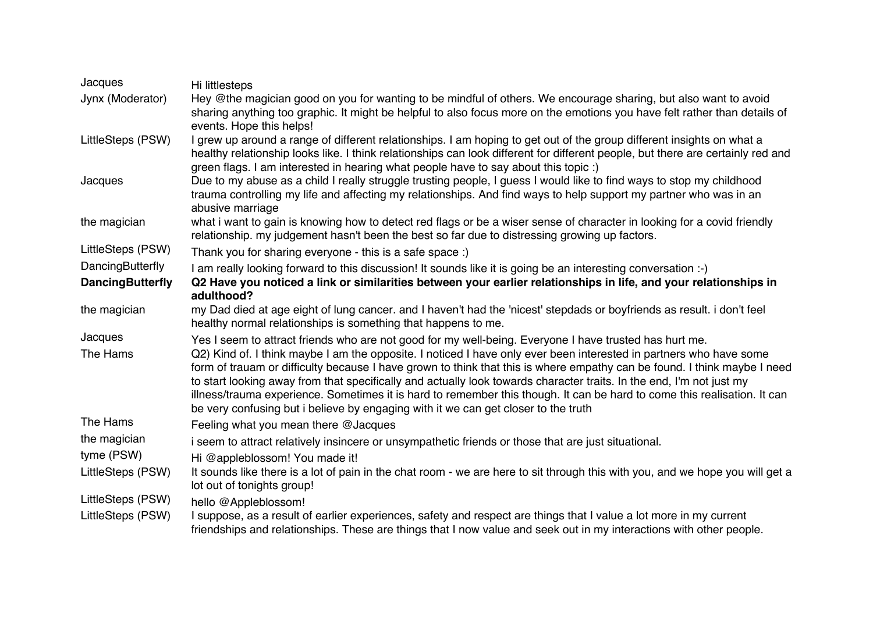| Jacques                 | Hi littlesteps                                                                                                                                                                                                                                                                                                                                                                                                                                                                                                                                                                                                                                                                                     |
|-------------------------|----------------------------------------------------------------------------------------------------------------------------------------------------------------------------------------------------------------------------------------------------------------------------------------------------------------------------------------------------------------------------------------------------------------------------------------------------------------------------------------------------------------------------------------------------------------------------------------------------------------------------------------------------------------------------------------------------|
| Jynx (Moderator)        | Hey @the magician good on you for wanting to be mindful of others. We encourage sharing, but also want to avoid<br>sharing anything too graphic. It might be helpful to also focus more on the emotions you have felt rather than details of<br>events. Hope this helps!                                                                                                                                                                                                                                                                                                                                                                                                                           |
| LittleSteps (PSW)       | I grew up around a range of different relationships. I am hoping to get out of the group different insights on what a<br>healthy relationship looks like. I think relationships can look different for different people, but there are certainly red and<br>green flags. I am interested in hearing what people have to say about this topic :)                                                                                                                                                                                                                                                                                                                                                    |
| Jacques                 | Due to my abuse as a child I really struggle trusting people, I guess I would like to find ways to stop my childhood<br>trauma controlling my life and affecting my relationships. And find ways to help support my partner who was in an<br>abusive marriage                                                                                                                                                                                                                                                                                                                                                                                                                                      |
| the magician            | what i want to gain is knowing how to detect red flags or be a wiser sense of character in looking for a covid friendly<br>relationship. my judgement hasn't been the best so far due to distressing growing up factors.                                                                                                                                                                                                                                                                                                                                                                                                                                                                           |
| LittleSteps (PSW)       | Thank you for sharing everyone - this is a safe space :)                                                                                                                                                                                                                                                                                                                                                                                                                                                                                                                                                                                                                                           |
| DancingButterfly        | I am really looking forward to this discussion! It sounds like it is going be an interesting conversation :-)                                                                                                                                                                                                                                                                                                                                                                                                                                                                                                                                                                                      |
| <b>DancingButterfly</b> | Q2 Have you noticed a link or similarities between your earlier relationships in life, and your relationships in<br>adulthood?                                                                                                                                                                                                                                                                                                                                                                                                                                                                                                                                                                     |
| the magician            | my Dad died at age eight of lung cancer. and I haven't had the 'nicest' stepdads or boyfriends as result. i don't feel<br>healthy normal relationships is something that happens to me.                                                                                                                                                                                                                                                                                                                                                                                                                                                                                                            |
| Jacques<br>The Hams     | Yes I seem to attract friends who are not good for my well-being. Everyone I have trusted has hurt me.<br>Q2) Kind of. I think maybe I am the opposite. I noticed I have only ever been interested in partners who have some<br>form of trauam or difficulty because I have grown to think that this is where empathy can be found. I think maybe I need<br>to start looking away from that specifically and actually look towards character traits. In the end, I'm not just my<br>illness/trauma experience. Sometimes it is hard to remember this though. It can be hard to come this realisation. It can<br>be very confusing but i believe by engaging with it we can get closer to the truth |
| The Hams                | Feeling what you mean there @Jacques                                                                                                                                                                                                                                                                                                                                                                                                                                                                                                                                                                                                                                                               |
| the magician            | i seem to attract relatively insincere or unsympathetic friends or those that are just situational.                                                                                                                                                                                                                                                                                                                                                                                                                                                                                                                                                                                                |
| tyme (PSW)              | Hi @appleblossom! You made it!                                                                                                                                                                                                                                                                                                                                                                                                                                                                                                                                                                                                                                                                     |
| LittleSteps (PSW)       | It sounds like there is a lot of pain in the chat room - we are here to sit through this with you, and we hope you will get a<br>lot out of tonights group!                                                                                                                                                                                                                                                                                                                                                                                                                                                                                                                                        |
| LittleSteps (PSW)       | hello @Appleblossom!                                                                                                                                                                                                                                                                                                                                                                                                                                                                                                                                                                                                                                                                               |
| LittleSteps (PSW)       | I suppose, as a result of earlier experiences, safety and respect are things that I value a lot more in my current<br>friendships and relationships. These are things that I now value and seek out in my interactions with other people.                                                                                                                                                                                                                                                                                                                                                                                                                                                          |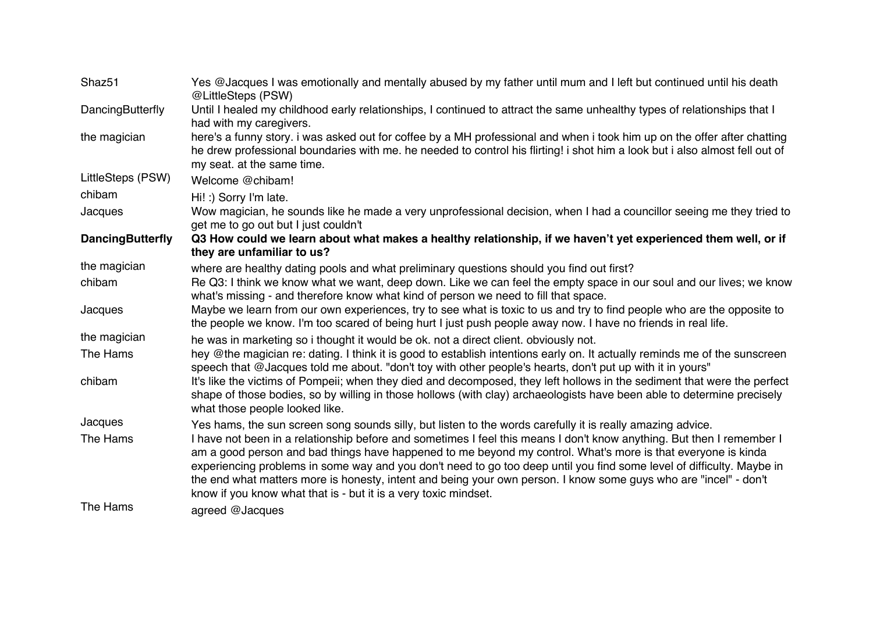| Shaz51                  | Yes @Jacques I was emotionally and mentally abused by my father until mum and I left but continued until his death<br>@LittleSteps (PSW)                                                                                                                                                                                                                                                                                                                                                                                                              |
|-------------------------|-------------------------------------------------------------------------------------------------------------------------------------------------------------------------------------------------------------------------------------------------------------------------------------------------------------------------------------------------------------------------------------------------------------------------------------------------------------------------------------------------------------------------------------------------------|
| DancingButterfly        | Until I healed my childhood early relationships, I continued to attract the same unhealthy types of relationships that I<br>had with my caregivers.                                                                                                                                                                                                                                                                                                                                                                                                   |
| the magician            | here's a funny story. i was asked out for coffee by a MH professional and when i took him up on the offer after chatting<br>he drew professional boundaries with me. he needed to control his flirting! i shot him a look but i also almost fell out of<br>my seat. at the same time.                                                                                                                                                                                                                                                                 |
| LittleSteps (PSW)       | Welcome @chibam!                                                                                                                                                                                                                                                                                                                                                                                                                                                                                                                                      |
| chibam                  | Hi! :) Sorry I'm late.                                                                                                                                                                                                                                                                                                                                                                                                                                                                                                                                |
| Jacques                 | Wow magician, he sounds like he made a very unprofessional decision, when I had a councillor seeing me they tried to<br>get me to go out but I just couldn't                                                                                                                                                                                                                                                                                                                                                                                          |
| <b>DancingButterfly</b> | Q3 How could we learn about what makes a healthy relationship, if we haven't yet experienced them well, or if<br>they are unfamiliar to us?                                                                                                                                                                                                                                                                                                                                                                                                           |
| the magician            | where are healthy dating pools and what preliminary questions should you find out first?                                                                                                                                                                                                                                                                                                                                                                                                                                                              |
| chibam                  | Re Q3: I think we know what we want, deep down. Like we can feel the empty space in our soul and our lives; we know<br>what's missing - and therefore know what kind of person we need to fill that space.                                                                                                                                                                                                                                                                                                                                            |
| Jacques                 | Maybe we learn from our own experiences, try to see what is toxic to us and try to find people who are the opposite to<br>the people we know. I'm too scared of being hurt I just push people away now. I have no friends in real life.                                                                                                                                                                                                                                                                                                               |
| the magician            | he was in marketing so i thought it would be ok. not a direct client. obviously not.                                                                                                                                                                                                                                                                                                                                                                                                                                                                  |
| The Hams                | hey @the magician re: dating. I think it is good to establish intentions early on. It actually reminds me of the sunscreen<br>speech that @Jacques told me about. "don't toy with other people's hearts, don't put up with it in yours"                                                                                                                                                                                                                                                                                                               |
| chibam                  | It's like the victims of Pompeii; when they died and decomposed, they left hollows in the sediment that were the perfect<br>shape of those bodies, so by willing in those hollows (with clay) archaeologists have been able to determine precisely<br>what those people looked like.                                                                                                                                                                                                                                                                  |
| Jacques                 | Yes hams, the sun screen song sounds silly, but listen to the words carefully it is really amazing advice.                                                                                                                                                                                                                                                                                                                                                                                                                                            |
| The Hams                | I have not been in a relationship before and sometimes I feel this means I don't know anything. But then I remember I<br>am a good person and bad things have happened to me beyond my control. What's more is that everyone is kinda<br>experiencing problems in some way and you don't need to go too deep until you find some level of difficulty. Maybe in<br>the end what matters more is honesty, intent and being your own person. I know some guys who are "incel" - don't<br>know if you know what that is - but it is a very toxic mindset. |
| The Hams                | agreed @Jacques                                                                                                                                                                                                                                                                                                                                                                                                                                                                                                                                       |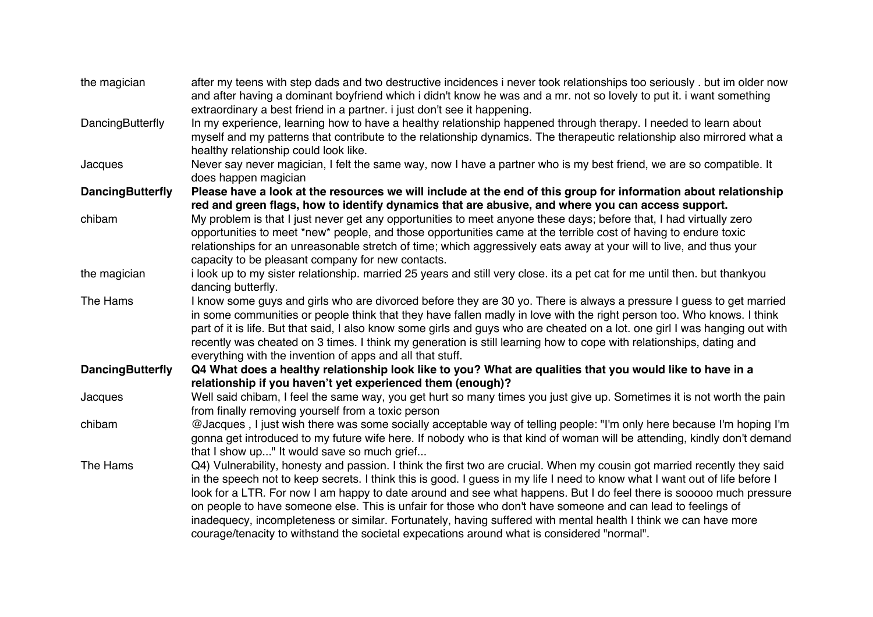| the magician            | after my teens with step dads and two destructive incidences i never took relationships too seriously. but im older now<br>and after having a dominant boyfriend which i didn't know he was and a mr. not so lovely to put it. i want something<br>extraordinary a best friend in a partner. i just don't see it happening.                                                                                                                                                                                                                                                                                                                                                                                    |
|-------------------------|----------------------------------------------------------------------------------------------------------------------------------------------------------------------------------------------------------------------------------------------------------------------------------------------------------------------------------------------------------------------------------------------------------------------------------------------------------------------------------------------------------------------------------------------------------------------------------------------------------------------------------------------------------------------------------------------------------------|
| DancingButterfly        | In my experience, learning how to have a healthy relationship happened through therapy. I needed to learn about<br>myself and my patterns that contribute to the relationship dynamics. The therapeutic relationship also mirrored what a<br>healthy relationship could look like.                                                                                                                                                                                                                                                                                                                                                                                                                             |
| Jacques                 | Never say never magician, I felt the same way, now I have a partner who is my best friend, we are so compatible. It<br>does happen magician                                                                                                                                                                                                                                                                                                                                                                                                                                                                                                                                                                    |
| <b>DancingButterfly</b> | Please have a look at the resources we will include at the end of this group for information about relationship<br>red and green flags, how to identify dynamics that are abusive, and where you can access support.                                                                                                                                                                                                                                                                                                                                                                                                                                                                                           |
| chibam                  | My problem is that I just never get any opportunities to meet anyone these days; before that, I had virtually zero<br>opportunities to meet *new* people, and those opportunities came at the terrible cost of having to endure toxic<br>relationships for an unreasonable stretch of time; which aggressively eats away at your will to live, and thus your<br>capacity to be pleasant company for new contacts.                                                                                                                                                                                                                                                                                              |
| the magician            | i look up to my sister relationship. married 25 years and still very close. its a pet cat for me until then. but thankyou<br>dancing butterfly.                                                                                                                                                                                                                                                                                                                                                                                                                                                                                                                                                                |
| The Hams                | I know some guys and girls who are divorced before they are 30 yo. There is always a pressure I guess to get married<br>in some communities or people think that they have fallen madly in love with the right person too. Who knows. I think<br>part of it is life. But that said, I also know some girls and guys who are cheated on a lot. one girl I was hanging out with<br>recently was cheated on 3 times. I think my generation is still learning how to cope with relationships, dating and<br>everything with the invention of apps and all that stuff.                                                                                                                                              |
| <b>DancingButterfly</b> | Q4 What does a healthy relationship look like to you? What are qualities that you would like to have in a<br>relationship if you haven't yet experienced them (enough)?                                                                                                                                                                                                                                                                                                                                                                                                                                                                                                                                        |
| Jacques                 | Well said chibam, I feel the same way, you get hurt so many times you just give up. Sometimes it is not worth the pain<br>from finally removing yourself from a toxic person                                                                                                                                                                                                                                                                                                                                                                                                                                                                                                                                   |
| chibam                  | @Jacques, I just wish there was some socially acceptable way of telling people: "I'm only here because I'm hoping I'm<br>gonna get introduced to my future wife here. If nobody who is that kind of woman will be attending, kindly don't demand<br>that I show up" It would save so much grief                                                                                                                                                                                                                                                                                                                                                                                                                |
| The Hams                | Q4) Vulnerability, honesty and passion. I think the first two are crucial. When my cousin got married recently they said<br>in the speech not to keep secrets. I think this is good. I guess in my life I need to know what I want out of life before I<br>look for a LTR. For now I am happy to date around and see what happens. But I do feel there is sooooo much pressure<br>on people to have someone else. This is unfair for those who don't have someone and can lead to feelings of<br>inadequecy, incompleteness or similar. Fortunately, having suffered with mental health I think we can have more<br>courage/tenacity to withstand the societal expecations around what is considered "normal". |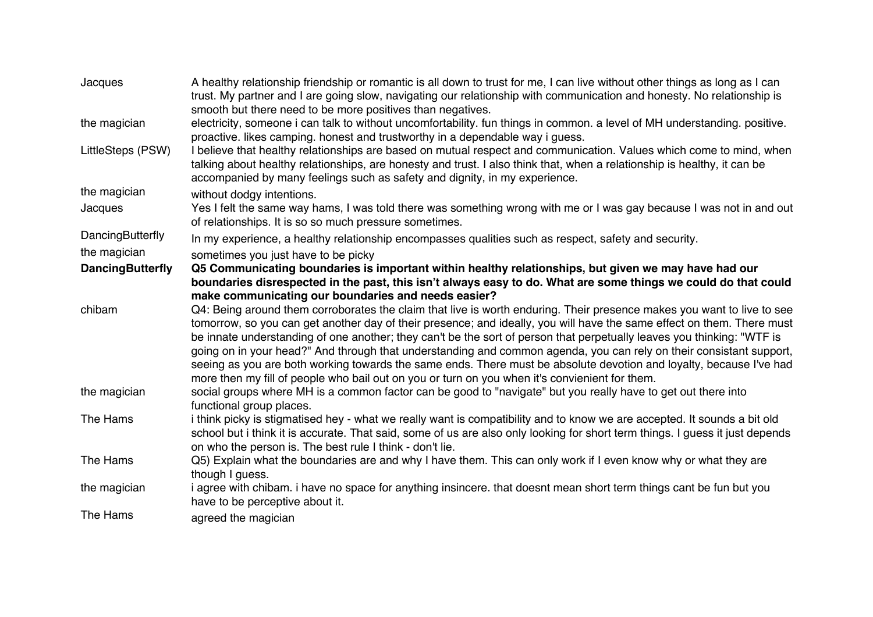| Jacques                 | A healthy relationship friendship or romantic is all down to trust for me, I can live without other things as long as I can<br>trust. My partner and I are going slow, navigating our relationship with communication and honesty. No relationship is<br>smooth but there need to be more positives than negatives.                                                                                                                                                                                                                                                                                                                                                                                                        |
|-------------------------|----------------------------------------------------------------------------------------------------------------------------------------------------------------------------------------------------------------------------------------------------------------------------------------------------------------------------------------------------------------------------------------------------------------------------------------------------------------------------------------------------------------------------------------------------------------------------------------------------------------------------------------------------------------------------------------------------------------------------|
| the magician            | electricity, someone i can talk to without uncomfortability. fun things in common. a level of MH understanding. positive.<br>proactive. likes camping. honest and trustworthy in a dependable way i guess.                                                                                                                                                                                                                                                                                                                                                                                                                                                                                                                 |
| LittleSteps (PSW)       | I believe that healthy relationships are based on mutual respect and communication. Values which come to mind, when<br>talking about healthy relationships, are honesty and trust. I also think that, when a relationship is healthy, it can be<br>accompanied by many feelings such as safety and dignity, in my experience.                                                                                                                                                                                                                                                                                                                                                                                              |
| the magician            | without dodgy intentions.                                                                                                                                                                                                                                                                                                                                                                                                                                                                                                                                                                                                                                                                                                  |
| Jacques                 | Yes I felt the same way hams, I was told there was something wrong with me or I was gay because I was not in and out<br>of relationships. It is so so much pressure sometimes.                                                                                                                                                                                                                                                                                                                                                                                                                                                                                                                                             |
| DancingButterfly        | In my experience, a healthy relationship encompasses qualities such as respect, safety and security.                                                                                                                                                                                                                                                                                                                                                                                                                                                                                                                                                                                                                       |
| the magician            | sometimes you just have to be picky                                                                                                                                                                                                                                                                                                                                                                                                                                                                                                                                                                                                                                                                                        |
| <b>DancingButterfly</b> | Q5 Communicating boundaries is important within healthy relationships, but given we may have had our<br>boundaries disrespected in the past, this isn't always easy to do. What are some things we could do that could<br>make communicating our boundaries and needs easier?                                                                                                                                                                                                                                                                                                                                                                                                                                              |
| chibam                  | Q4: Being around them corroborates the claim that live is worth enduring. Their presence makes you want to live to see<br>tomorrow, so you can get another day of their presence; and ideally, you will have the same effect on them. There must<br>be innate understanding of one another; they can't be the sort of person that perpetually leaves you thinking: "WTF is<br>going on in your head?" And through that understanding and common agenda, you can rely on their consistant support,<br>seeing as you are both working towards the same ends. There must be absolute devotion and loyalty, because I've had<br>more then my fill of people who bail out on you or turn on you when it's convienient for them. |
| the magician            | social groups where MH is a common factor can be good to "navigate" but you really have to get out there into<br>functional group places.                                                                                                                                                                                                                                                                                                                                                                                                                                                                                                                                                                                  |
| The Hams                | i think picky is stigmatised hey - what we really want is compatibility and to know we are accepted. It sounds a bit old<br>school but i think it is accurate. That said, some of us are also only looking for short term things. I guess it just depends<br>on who the person is. The best rule I think - don't lie.                                                                                                                                                                                                                                                                                                                                                                                                      |
| The Hams                | Q5) Explain what the boundaries are and why I have them. This can only work if I even know why or what they are<br>though I guess.                                                                                                                                                                                                                                                                                                                                                                                                                                                                                                                                                                                         |
| the magician            | i agree with chibam. i have no space for anything insincere. that doesnt mean short term things cant be fun but you<br>have to be perceptive about it.                                                                                                                                                                                                                                                                                                                                                                                                                                                                                                                                                                     |
| The Hams                | agreed the magician                                                                                                                                                                                                                                                                                                                                                                                                                                                                                                                                                                                                                                                                                                        |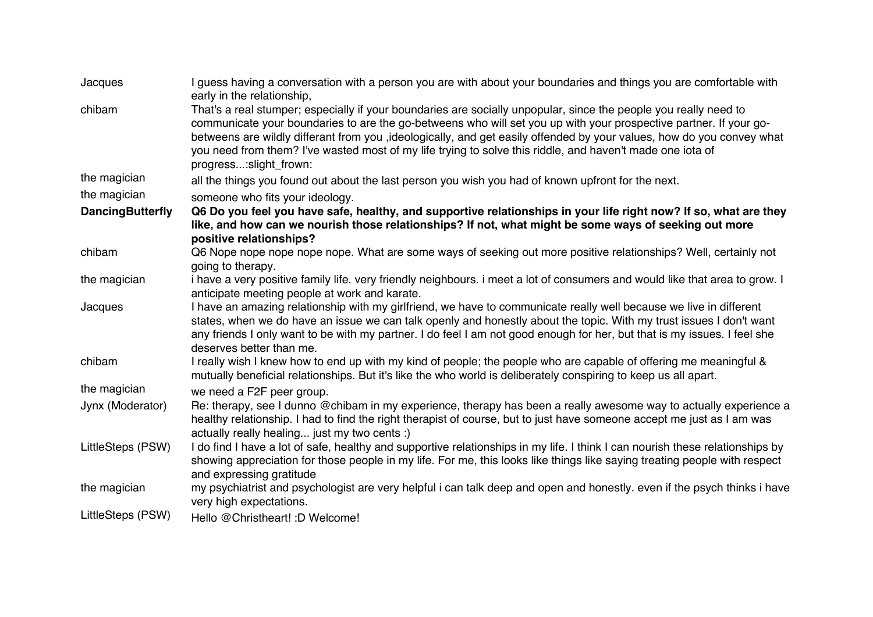| Jacques                 | I guess having a conversation with a person you are with about your boundaries and things you are comfortable with<br>early in the relationship,                                                                                                                                                                                                                                                                                                                                                      |
|-------------------------|-------------------------------------------------------------------------------------------------------------------------------------------------------------------------------------------------------------------------------------------------------------------------------------------------------------------------------------------------------------------------------------------------------------------------------------------------------------------------------------------------------|
| chibam                  | That's a real stumper; especially if your boundaries are socially unpopular, since the people you really need to<br>communicate your boundaries to are the go-betweens who will set you up with your prospective partner. If your go-<br>betweens are wildly differant from you ,ideologically, and get easily offended by your values, how do you convey what<br>you need from them? I've wasted most of my life trying to solve this riddle, and haven't made one iota of<br>progress:slight_frown: |
| the magician            | all the things you found out about the last person you wish you had of known upfront for the next.                                                                                                                                                                                                                                                                                                                                                                                                    |
| the magician            | someone who fits your ideology.                                                                                                                                                                                                                                                                                                                                                                                                                                                                       |
| <b>DancingButterfly</b> | Q6 Do you feel you have safe, healthy, and supportive relationships in your life right now? If so, what are they<br>like, and how can we nourish those relationships? If not, what might be some ways of seeking out more<br>positive relationships?                                                                                                                                                                                                                                                  |
| chibam                  | Q6 Nope nope nope nope nope. What are some ways of seeking out more positive relationships? Well, certainly not<br>going to therapy.                                                                                                                                                                                                                                                                                                                                                                  |
| the magician            | i have a very positive family life. very friendly neighbours. i meet a lot of consumers and would like that area to grow. I<br>anticipate meeting people at work and karate.                                                                                                                                                                                                                                                                                                                          |
| Jacques                 | I have an amazing relationship with my girlfriend, we have to communicate really well because we live in different<br>states, when we do have an issue we can talk openly and honestly about the topic. With my trust issues I don't want<br>any friends I only want to be with my partner. I do feel I am not good enough for her, but that is my issues. I feel she<br>deserves better than me.                                                                                                     |
| chibam                  | I really wish I knew how to end up with my kind of people; the people who are capable of offering me meaningful &<br>mutually beneficial relationships. But it's like the who world is deliberately conspiring to keep us all apart.                                                                                                                                                                                                                                                                  |
| the magician            | we need a F2F peer group.                                                                                                                                                                                                                                                                                                                                                                                                                                                                             |
| Jynx (Moderator)        | Re: therapy, see I dunno @chibam in my experience, therapy has been a really awesome way to actually experience a<br>healthy relationship. I had to find the right therapist of course, but to just have someone accept me just as I am was<br>actually really healing just my two cents :)                                                                                                                                                                                                           |
| LittleSteps (PSW)       | I do find I have a lot of safe, healthy and supportive relationships in my life. I think I can nourish these relationships by<br>showing appreciation for those people in my life. For me, this looks like things like saying treating people with respect<br>and expressing gratitude                                                                                                                                                                                                                |
| the magician            | my psychiatrist and psychologist are very helpful i can talk deep and open and honestly. even if the psych thinks i have<br>very high expectations.                                                                                                                                                                                                                                                                                                                                                   |
| LittleSteps (PSW)       | Hello @Christheart! :D Welcome!                                                                                                                                                                                                                                                                                                                                                                                                                                                                       |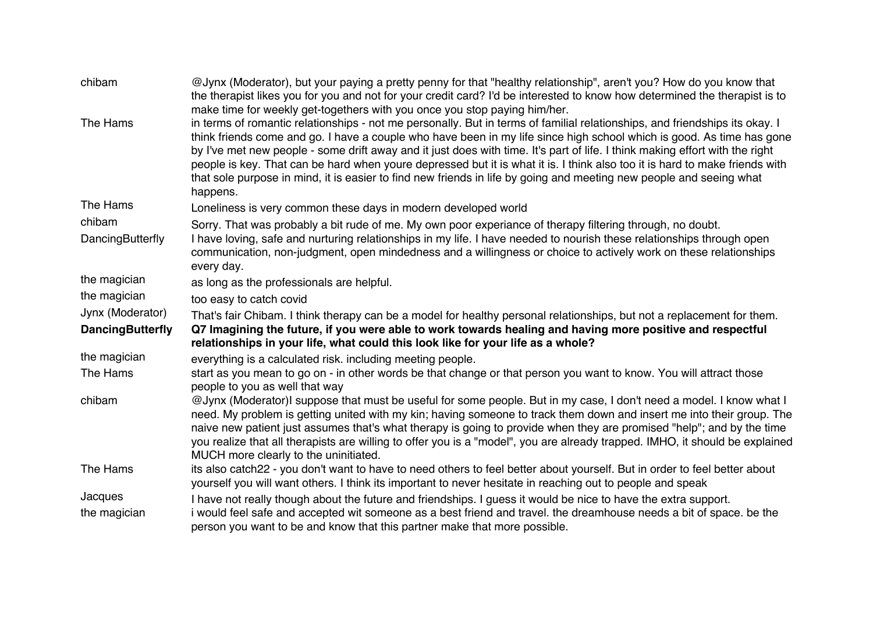| chibam                  | @Jynx (Moderator), but your paying a pretty penny for that "healthy relationship", aren't you? How do you know that<br>the therapist likes you for you and not for your credit card? I'd be interested to know how determined the therapist is to<br>make time for weekly get-togethers with you once you stop paying him/her.                                                                                                                                                                                                                                                                                                                         |
|-------------------------|--------------------------------------------------------------------------------------------------------------------------------------------------------------------------------------------------------------------------------------------------------------------------------------------------------------------------------------------------------------------------------------------------------------------------------------------------------------------------------------------------------------------------------------------------------------------------------------------------------------------------------------------------------|
| The Hams                | in terms of romantic relationships - not me personally. But in terms of familial relationships, and friendships its okay. I<br>think friends come and go. I have a couple who have been in my life since high school which is good. As time has gone<br>by I've met new people - some drift away and it just does with time. It's part of life. I think making effort with the right<br>people is key. That can be hard when youre depressed but it is what it is. I think also too it is hard to make friends with<br>that sole purpose in mind, it is easier to find new friends in life by going and meeting new people and seeing what<br>happens. |
| The Hams                | Loneliness is very common these days in modern developed world                                                                                                                                                                                                                                                                                                                                                                                                                                                                                                                                                                                         |
| chibam                  | Sorry. That was probably a bit rude of me. My own poor experiance of therapy filtering through, no doubt.                                                                                                                                                                                                                                                                                                                                                                                                                                                                                                                                              |
| DancingButterfly        | I have loving, safe and nurturing relationships in my life. I have needed to nourish these relationships through open<br>communication, non-judgment, open mindedness and a willingness or choice to actively work on these relationships<br>every day.                                                                                                                                                                                                                                                                                                                                                                                                |
| the magician            | as long as the professionals are helpful.                                                                                                                                                                                                                                                                                                                                                                                                                                                                                                                                                                                                              |
| the magician            | too easy to catch covid                                                                                                                                                                                                                                                                                                                                                                                                                                                                                                                                                                                                                                |
| Jynx (Moderator)        | That's fair Chibam. I think therapy can be a model for healthy personal relationships, but not a replacement for them.                                                                                                                                                                                                                                                                                                                                                                                                                                                                                                                                 |
| <b>DancingButterfly</b> | Q7 Imagining the future, if you were able to work towards healing and having more positive and respectful<br>relationships in your life, what could this look like for your life as a whole?                                                                                                                                                                                                                                                                                                                                                                                                                                                           |
| the magician            | everything is a calculated risk. including meeting people.                                                                                                                                                                                                                                                                                                                                                                                                                                                                                                                                                                                             |
| The Hams                | start as you mean to go on - in other words be that change or that person you want to know. You will attract those<br>people to you as well that way                                                                                                                                                                                                                                                                                                                                                                                                                                                                                                   |
| chibam                  | @Jynx (Moderator)I suppose that must be useful for some people. But in my case, I don't need a model. I know what I<br>need. My problem is getting united with my kin; having someone to track them down and insert me into their group. The<br>naive new patient just assumes that's what therapy is going to provide when they are promised "help"; and by the time<br>you realize that all therapists are willing to offer you is a "model", you are already trapped. IMHO, it should be explained<br>MUCH more clearly to the uninitiated.                                                                                                         |
| The Hams                | its also catch22 - you don't want to have to need others to feel better about yourself. But in order to feel better about<br>yourself you will want others. I think its important to never hesitate in reaching out to people and speak                                                                                                                                                                                                                                                                                                                                                                                                                |
| Jacques                 | I have not really though about the future and friendships. I guess it would be nice to have the extra support.                                                                                                                                                                                                                                                                                                                                                                                                                                                                                                                                         |
| the magician            | i would feel safe and accepted wit someone as a best friend and travel. the dreamhouse needs a bit of space. be the<br>person you want to be and know that this partner make that more possible.                                                                                                                                                                                                                                                                                                                                                                                                                                                       |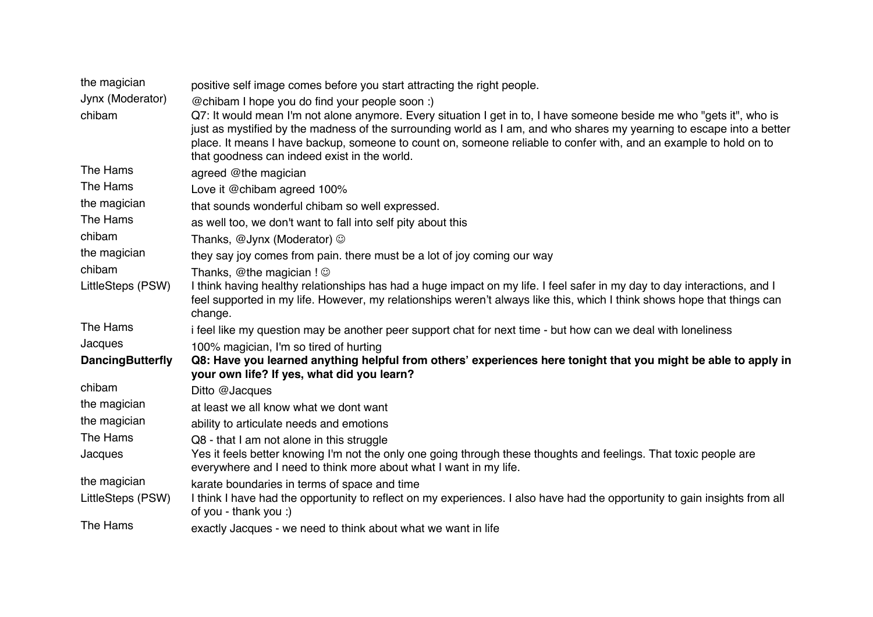| the magician            | positive self image comes before you start attracting the right people.                                                                                                                                                                                                                                                                                                                                            |
|-------------------------|--------------------------------------------------------------------------------------------------------------------------------------------------------------------------------------------------------------------------------------------------------------------------------------------------------------------------------------------------------------------------------------------------------------------|
| Jynx (Moderator)        | @chibam I hope you do find your people soon :)                                                                                                                                                                                                                                                                                                                                                                     |
| chibam                  | Q7: It would mean I'm not alone anymore. Every situation I get in to, I have someone beside me who "gets it", who is<br>just as mystified by the madness of the surrounding world as I am, and who shares my yearning to escape into a better<br>place. It means I have backup, someone to count on, someone reliable to confer with, and an example to hold on to<br>that goodness can indeed exist in the world. |
| The Hams                | agreed @the magician                                                                                                                                                                                                                                                                                                                                                                                               |
| The Hams                | Love it @chibam agreed 100%                                                                                                                                                                                                                                                                                                                                                                                        |
| the magician            | that sounds wonderful chibam so well expressed.                                                                                                                                                                                                                                                                                                                                                                    |
| The Hams                | as well too, we don't want to fall into self pity about this                                                                                                                                                                                                                                                                                                                                                       |
| chibam                  | Thanks, @Jynx (Moderator) ©                                                                                                                                                                                                                                                                                                                                                                                        |
| the magician            | they say joy comes from pain. there must be a lot of joy coming our way                                                                                                                                                                                                                                                                                                                                            |
| chibam                  | Thanks, $@$ the magician ! $@$                                                                                                                                                                                                                                                                                                                                                                                     |
| LittleSteps (PSW)       | I think having healthy relationships has had a huge impact on my life. I feel safer in my day to day interactions, and I<br>feel supported in my life. However, my relationships weren't always like this, which I think shows hope that things can<br>change.                                                                                                                                                     |
| The Hams                | i feel like my question may be another peer support chat for next time - but how can we deal with loneliness                                                                                                                                                                                                                                                                                                       |
| Jacques                 | 100% magician, I'm so tired of hurting                                                                                                                                                                                                                                                                                                                                                                             |
| <b>DancingButterfly</b> | Q8: Have you learned anything helpful from others' experiences here tonight that you might be able to apply in<br>your own life? If yes, what did you learn?                                                                                                                                                                                                                                                       |
| chibam                  | Ditto @Jacques                                                                                                                                                                                                                                                                                                                                                                                                     |
| the magician            | at least we all know what we dont want                                                                                                                                                                                                                                                                                                                                                                             |
| the magician            | ability to articulate needs and emotions                                                                                                                                                                                                                                                                                                                                                                           |
| The Hams                | Q8 - that I am not alone in this struggle                                                                                                                                                                                                                                                                                                                                                                          |
| Jacques                 | Yes it feels better knowing I'm not the only one going through these thoughts and feelings. That toxic people are<br>everywhere and I need to think more about what I want in my life.                                                                                                                                                                                                                             |
| the magician            | karate boundaries in terms of space and time                                                                                                                                                                                                                                                                                                                                                                       |
| LittleSteps (PSW)       | I think I have had the opportunity to reflect on my experiences. I also have had the opportunity to gain insights from all<br>of you - thank you :)                                                                                                                                                                                                                                                                |
| The Hams                | exactly Jacques - we need to think about what we want in life                                                                                                                                                                                                                                                                                                                                                      |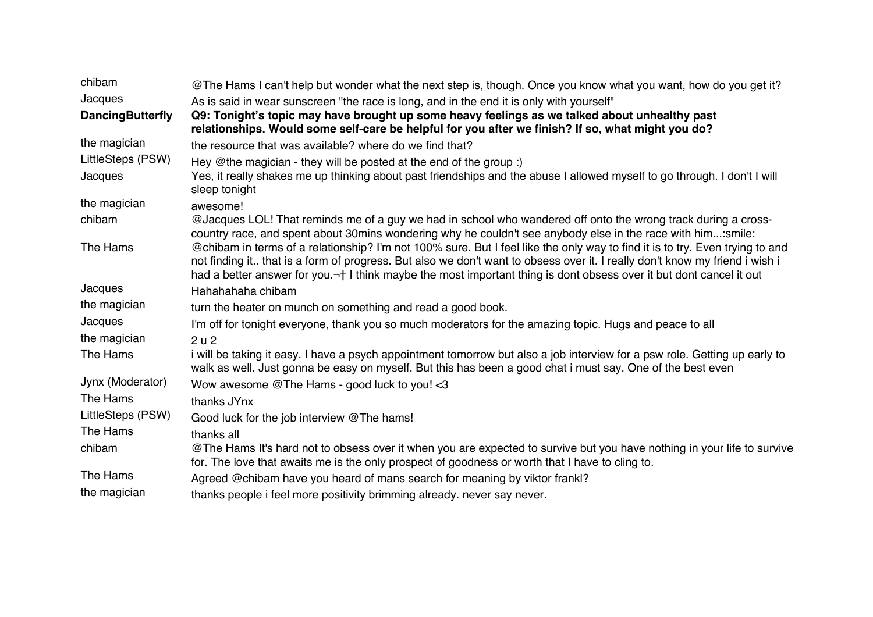| chibam                  | @The Hams I can't help but wonder what the next step is, though. Once you know what you want, how do you get it?                                                                                                                                                                                                                                                                               |
|-------------------------|------------------------------------------------------------------------------------------------------------------------------------------------------------------------------------------------------------------------------------------------------------------------------------------------------------------------------------------------------------------------------------------------|
| Jacques                 | As is said in wear sunscreen "the race is long, and in the end it is only with yourself"                                                                                                                                                                                                                                                                                                       |
| <b>DancingButterfly</b> | Q9: Tonight's topic may have brought up some heavy feelings as we talked about unhealthy past<br>relationships. Would some self-care be helpful for you after we finish? If so, what might you do?                                                                                                                                                                                             |
| the magician            | the resource that was available? where do we find that?                                                                                                                                                                                                                                                                                                                                        |
| LittleSteps (PSW)       | Hey @the magician - they will be posted at the end of the group :)                                                                                                                                                                                                                                                                                                                             |
| Jacques                 | Yes, it really shakes me up thinking about past friendships and the abuse I allowed myself to go through. I don't I will<br>sleep tonight                                                                                                                                                                                                                                                      |
| the magician            | awesome!                                                                                                                                                                                                                                                                                                                                                                                       |
| chibam                  | @Jacques LOL! That reminds me of a guy we had in school who wandered off onto the wrong track during a cross-<br>country race, and spent about 30mins wondering why he couldn't see anybody else in the race with him:smile:                                                                                                                                                                   |
| The Hams                | @chibam in terms of a relationship? I'm not 100% sure. But I feel like the only way to find it is to try. Even trying to and<br>not finding it that is a form of progress. But also we don't want to obsess over it. I really don't know my friend i wish i<br>had a better answer for you. <sup>-+</sup> I think maybe the most important thing is dont obsess over it but dont cancel it out |
| Jacques                 | Hahahahaha chibam                                                                                                                                                                                                                                                                                                                                                                              |
| the magician            | turn the heater on munch on something and read a good book.                                                                                                                                                                                                                                                                                                                                    |
| Jacques                 | I'm off for tonight everyone, thank you so much moderators for the amazing topic. Hugs and peace to all                                                                                                                                                                                                                                                                                        |
| the magician            | 2u2                                                                                                                                                                                                                                                                                                                                                                                            |
| The Hams                | i will be taking it easy. I have a psych appointment tomorrow but also a job interview for a psw role. Getting up early to<br>walk as well. Just gonna be easy on myself. But this has been a good chat i must say. One of the best even                                                                                                                                                       |
| Jynx (Moderator)        | Wow awesome @The Hams - good luck to you! <3                                                                                                                                                                                                                                                                                                                                                   |
| The Hams                | thanks JYnx                                                                                                                                                                                                                                                                                                                                                                                    |
| LittleSteps (PSW)       | Good luck for the job interview @The hams!                                                                                                                                                                                                                                                                                                                                                     |
| The Hams                | thanks all                                                                                                                                                                                                                                                                                                                                                                                     |
| chibam                  | @The Hams It's hard not to obsess over it when you are expected to survive but you have nothing in your life to survive<br>for. The love that awaits me is the only prospect of goodness or worth that I have to cling to.                                                                                                                                                                     |
| The Hams                | Agreed @chibam have you heard of mans search for meaning by viktor frankl?                                                                                                                                                                                                                                                                                                                     |
| the magician            | thanks people i feel more positivity brimming already. never say never.                                                                                                                                                                                                                                                                                                                        |